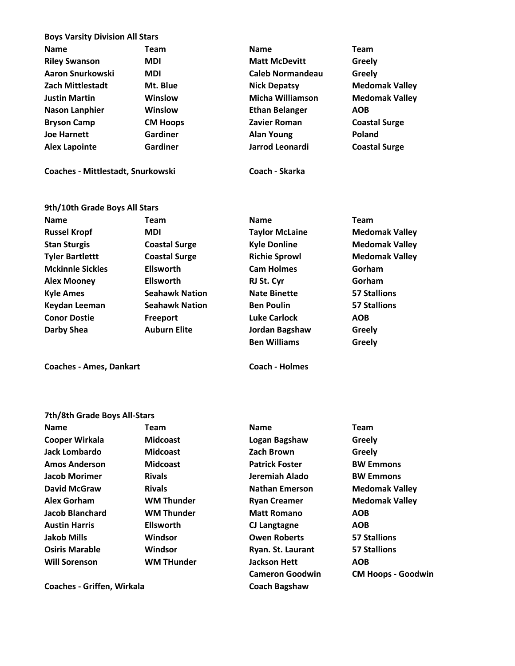| <b>Boys Varsity Division All Stars</b> |                 |                         |                       |
|----------------------------------------|-----------------|-------------------------|-----------------------|
| <b>Name</b>                            | Team            | <b>Name</b>             | <b>Team</b>           |
| <b>Riley Swanson</b>                   | <b>MDI</b>      | <b>Matt McDevitt</b>    | Greely                |
| Aaron Snurkowski                       | <b>MDI</b>      | <b>Caleb Normandeau</b> | Greely                |
| <b>Zach Mittlestadt</b>                | Mt. Blue        | <b>Nick Depatsy</b>     | <b>Medomak Valley</b> |
| <b>Justin Martin</b>                   | Winslow         | Micha Williamson        | <b>Medomak Valley</b> |
| <b>Nason Lanphier</b>                  | <b>Winslow</b>  | <b>Ethan Belanger</b>   | <b>AOB</b>            |
| <b>Bryson Camp</b>                     | <b>CM Hoops</b> | Zavier Roman            | <b>Coastal Surge</b>  |
| <b>Joe Harnett</b>                     | Gardiner        | <b>Alan Young</b>       | Poland                |
| <b>Alex Lapointe</b>                   | Gardiner        | Jarrod Leonardi         | <b>Coastal Surge</b>  |
| Coaches - Mittlestadt, Snurkowski      |                 | Coach - Skarka          |                       |

| 9th/10th Grade Boys All Stars |                       |                       |                       |
|-------------------------------|-----------------------|-----------------------|-----------------------|
| <b>Name</b>                   | <b>Team</b>           | <b>Name</b>           | <b>Team</b>           |
| <b>Russel Kropf</b>           | <b>MDI</b>            | <b>Taylor McLaine</b> | <b>Medomak Valley</b> |
| <b>Stan Sturgis</b>           | <b>Coastal Surge</b>  | <b>Kyle Donline</b>   | <b>Medomak Valley</b> |
| <b>Tyler Bartlettt</b>        | <b>Coastal Surge</b>  | <b>Richie Sprowl</b>  | <b>Medomak Valley</b> |
| <b>Mckinnle Sickles</b>       | <b>Ellsworth</b>      | <b>Cam Holmes</b>     | Gorham                |
| <b>Alex Mooney</b>            | <b>Ellsworth</b>      | RJ St. Cyr            | Gorham                |
| <b>Kyle Ames</b>              | <b>Seahawk Nation</b> | <b>Nate Binette</b>   | <b>57 Stallions</b>   |
| Keydan Leeman                 | <b>Seahawk Nation</b> | <b>Ben Poulin</b>     | <b>57 Stallions</b>   |
| <b>Conor Dostie</b>           | Freeport              | <b>Luke Carlock</b>   | <b>AOB</b>            |
| Darby Shea                    | <b>Auburn Elite</b>   | Jordan Bagshaw        | Greely                |
|                               |                       | <b>Ben Williams</b>   | Greely                |

**Coaches - Ames, Dankart Coach - Holmes**

## **7th/8th Grade Boys All-Stars**

| <b>Name</b>           | Team              | <b>Name</b>           | Team       |
|-----------------------|-------------------|-----------------------|------------|
| <b>Cooper Wirkala</b> | <b>Midcoast</b>   | Logan Bagshaw         | Greel      |
| Jack Lombardo         | <b>Midcoast</b>   | <b>Zach Brown</b>     | Greel      |
| <b>Amos Anderson</b>  | <b>Midcoast</b>   | <b>Patrick Foster</b> | <b>BWE</b> |
| <b>Jacob Morimer</b>  | <b>Rivals</b>     | Jeremiah Alado        | <b>BWE</b> |
| <b>David McGraw</b>   | <b>Rivals</b>     | <b>Nathan Emerson</b> | Medc       |
| <b>Alex Gorham</b>    | <b>WM Thunder</b> | <b>Ryan Creamer</b>   | Medc       |
| Jacob Blanchard       | <b>WM Thunder</b> | <b>Matt Romano</b>    | <b>AOB</b> |
| <b>Austin Harris</b>  | <b>Ellsworth</b>  | CJ Langtagne          | <b>AOB</b> |
| <b>Jakob Mills</b>    | Windsor           | <b>Owen Roberts</b>   | 57 Sta     |
| <b>Osiris Marable</b> | Windsor           | Ryan. St. Laurant     | 57 Sta     |
| <b>Will Sorenson</b>  | <b>WM THunder</b> | <b>Jackson Hett</b>   | <b>AOB</b> |
|                       |                   |                       |            |

**Cooper Wirkala Midcoast Logan Bagshaw Greely Jack Lombardo Midcoast Zach Brown Greely Amos Anderson Midcoast Patrick Foster BW Emmons Jacob Morimer Rivals Jeremiah Alado BW Emmons David McGraw Rivals Nathan Emerson Medomak Valley Alex Gorham WM Thunder Ryan Creamer Medomak Valley Jacob Blanchard WM Thunder Matt Romano AOB Austin Harris Ellsworth CJ Langtagne AOB Jakob Mills Windsor Owen Roberts 57 Stallions Osiris Marable Windsor Ryan. St. Laurant 57 Stallions Will Sorenson WM THunder Jackson Hett AOB Cameron Goodwin CM Hoops - Goodwin**

**Coaches - Griffen, Wirkala Coach Bagshaw**